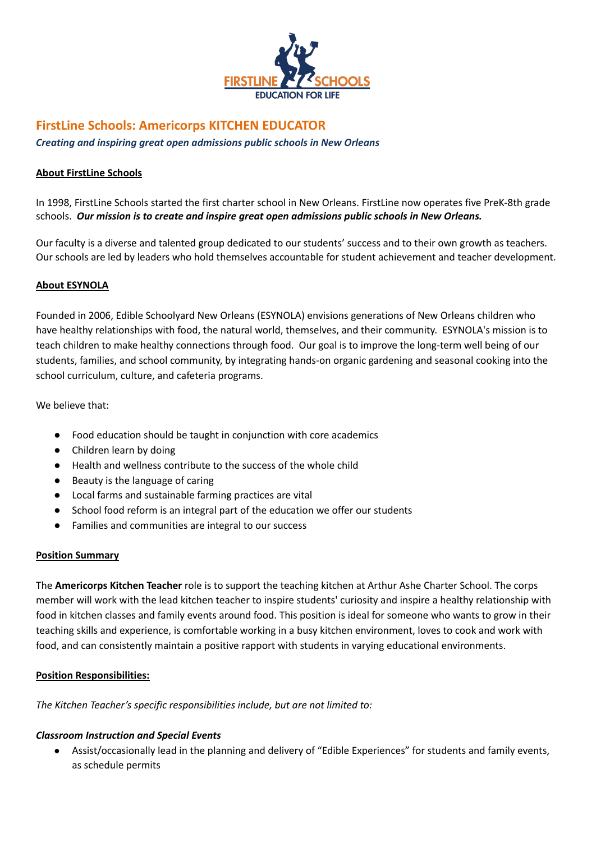

# **FirstLine Schools: Americorps KITCHEN EDUCATOR**

*Creating and inspiring great open admissions public schools in New Orleans*

# **About FirstLine Schools**

In 1998, FirstLine Schools started the first charter school in New Orleans. FirstLine now operates five PreK-8th grade schools. *Our mission is to create and inspire great open admissions public schools in New Orleans.*

Our faculty is a diverse and talented group dedicated to our students' success and to their own growth as teachers. Our schools are led by leaders who hold themselves accountable for student achievement and teacher development.

# **About ESYNOLA**

Founded in 2006, Edible Schoolyard New Orleans (ESYNOLA) envisions generations of New Orleans children who have healthy relationships with food, the natural world, themselves, and their community. ESYNOLA's mission is to teach children to make healthy connections through food. Our goal is to improve the long-term well being of our students, families, and school community, by integrating hands-on organic gardening and seasonal cooking into the school curriculum, culture, and cafeteria programs.

We believe that:

- Food education should be taught in conjunction with core academics
- Children learn by doing
- Health and wellness contribute to the success of the whole child
- Beauty is the language of caring
- Local farms and sustainable farming practices are vital
- School food reform is an integral part of the education we offer our students
- Families and communities are integral to our success

# **Position Summary**

The **Americorps Kitchen Teacher** role is to support the teaching kitchen at Arthur Ashe Charter School. The corps member will work with the lead kitchen teacher to inspire students' curiosity and inspire a healthy relationship with food in kitchen classes and family events around food. This position is ideal for someone who wants to grow in their teaching skills and experience, is comfortable working in a busy kitchen environment, loves to cook and work with food, and can consistently maintain a positive rapport with students in varying educational environments.

# **Position Responsibilities:**

*The Kitchen Teacher's specific responsibilities include, but are not limited to:*

# *Classroom Instruction and Special Events*

Assist/occasionally lead in the planning and delivery of "Edible Experiences" for students and family events, as schedule permits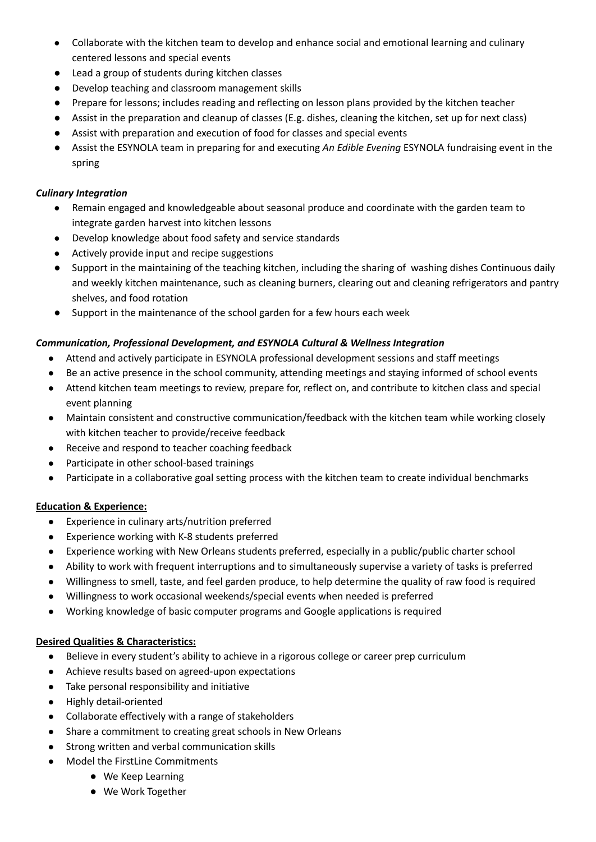- Collaborate with the kitchen team to develop and enhance social and emotional learning and culinary centered lessons and special events
- Lead a group of students during kitchen classes
- Develop teaching and classroom management skills
- Prepare for lessons; includes reading and reflecting on lesson plans provided by the kitchen teacher
- Assist in the preparation and cleanup of classes (E.g. dishes, cleaning the kitchen, set up for next class)
- Assist with preparation and execution of food for classes and special events
- Assist the ESYNOLA team in preparing for and executing *An Edible Evening* ESYNOLA fundraising event in the spring

# *Culinary Integration*

- Remain engaged and knowledgeable about seasonal produce and coordinate with the garden team to integrate garden harvest into kitchen lessons
- Develop knowledge about food safety and service standards
- Actively provide input and recipe suggestions
- Support in the maintaining of the teaching kitchen, including the sharing of washing dishes Continuous daily and weekly kitchen maintenance, such as cleaning burners, clearing out and cleaning refrigerators and pantry shelves, and food rotation
- Support in the maintenance of the school garden for a few hours each week

# *Communication, Professional Development, and ESYNOLA Cultural & Wellness Integration*

- Attend and actively participate in ESYNOLA professional development sessions and staff meetings
- Be an active presence in the school community, attending meetings and staying informed of school events
- Attend kitchen team meetings to review, prepare for, reflect on, and contribute to kitchen class and special event planning
- Maintain consistent and constructive communication/feedback with the kitchen team while working closely with kitchen teacher to provide/receive feedback
- Receive and respond to teacher coaching feedback
- Participate in other school-based trainings
- Participate in a collaborative goal setting process with the kitchen team to create individual benchmarks

# **Education & Experience:**

- Experience in culinary arts/nutrition preferred
- Experience working with K-8 students preferred
- Experience working with New Orleans students preferred, especially in a public/public charter school
- Ability to work with frequent interruptions and to simultaneously supervise a variety of tasks is preferred
- Willingness to smell, taste, and feel garden produce, to help determine the quality of raw food is required
- Willingness to work occasional weekends/special events when needed is preferred
- Working knowledge of basic computer programs and Google applications is required

# **Desired Qualities & Characteristics:**

- Believe in every student's ability to achieve in a rigorous college or career prep curriculum
- Achieve results based on agreed-upon expectations
- Take personal responsibility and initiative
- Highly detail-oriented
- Collaborate effectively with a range of stakeholders
- Share a commitment to creating great schools in New Orleans
- Strong written and verbal communication skills
- Model the FirstLine Commitments
	- We Keep Learning
	- We Work Together